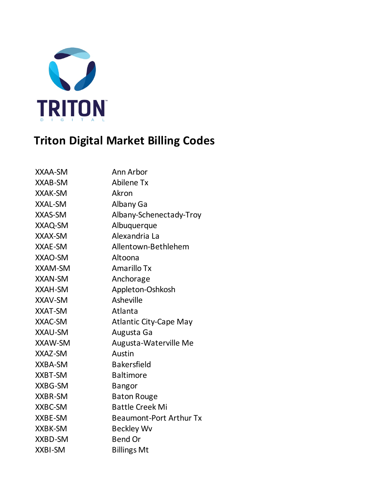

## **Triton Digital Market Billing Codes**

| XXAA-SM        | Ann Arbor                      |
|----------------|--------------------------------|
| XXAB-SM        | Abilene Tx                     |
| <b>XXAK-SM</b> | Akron                          |
| <b>XXAL-SM</b> | Albany Ga                      |
| <b>XXAS-SM</b> | Albany-Schenectady-Troy        |
| XXAQ-SM        | Albuquerque                    |
| XXAX-SM        | Alexandria La                  |
| XXAE-SM        | Allentown-Bethlehem            |
| XXAO-SM        | Altoona                        |
| <b>XXAM-SM</b> | Amarillo Tx                    |
| <b>XXAN-SM</b> | Anchorage                      |
| <b>XXAH-SM</b> | Appleton-Oshkosh               |
| <b>XXAV-SM</b> | Asheville                      |
| <b>XXAT-SM</b> | Atlanta                        |
| XXAC-SM        | <b>Atlantic City-Cape May</b>  |
| <b>XXAU-SM</b> | Augusta Ga                     |
| <b>XXAW-SM</b> | Augusta-Waterville Me          |
| XXAZ-SM        | Austin                         |
| XXBA-SM        | <b>Bakersfield</b>             |
| XXBT-SM        | <b>Baltimore</b>               |
| XXBG-SM        | <b>Bangor</b>                  |
| <b>XXBR-SM</b> | <b>Baton Rouge</b>             |
| XXBC-SM        | <b>Battle Creek Mi</b>         |
| XXBE-SM        | <b>Beaumont-Port Arthur Tx</b> |
| XXBK-SM        | Beckley Wv                     |
| XXBD-SM        | <b>Bend Or</b>                 |
| <b>XXBI-SM</b> | <b>Billings Mt</b>             |
|                |                                |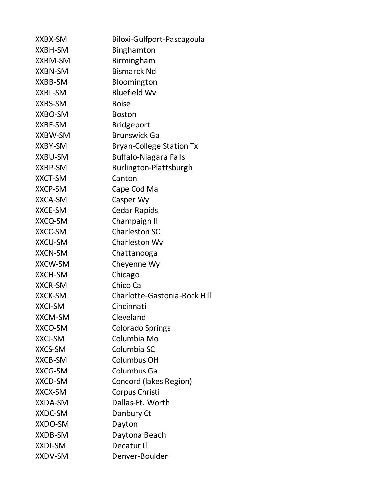| XXBX-SM        | Biloxi-Gulfport-Pascagoula      |
|----------------|---------------------------------|
| XXBH-SM        | <b>Binghamton</b>               |
| <b>XXBM-SM</b> | <b>Birmingham</b>               |
| <b>XXBN-SM</b> | <b>Bismarck Nd</b>              |
| <b>XXBB-SM</b> | Bloomington                     |
| XXBL-SM        | <b>Bluefield Wv</b>             |
| XXBS-SM        | <b>Boise</b>                    |
| XXBO-SM        | <b>Boston</b>                   |
| XXBF-SM        | <b>Bridgeport</b>               |
| <b>XXBW-SM</b> | <b>Brunswick Ga</b>             |
| <b>XXBY-SM</b> | <b>Bryan-College Station Tx</b> |
| <b>XXBU-SM</b> | <b>Buffalo-Niagara Falls</b>    |
| XXBP-SM        | Burlington-Plattsburgh          |
| <b>XXCT-SM</b> | Canton                          |
| <b>XXCP-SM</b> | Cape Cod Ma                     |
| <b>XXCA-SM</b> | Casper Wy                       |
| <b>XXCE-SM</b> | <b>Cedar Rapids</b>             |
| XXCQ-SM        | Champaign II                    |
| XXCC-SM        | <b>Charleston SC</b>            |
| <b>XXCU-SM</b> | Charleston Wv                   |
| <b>XXCN-SM</b> | Chattanooga                     |
| <b>XXCW-SM</b> | Cheyenne Wy                     |
| <b>XXCH-SM</b> | Chicago                         |
| <b>XXCR-SM</b> | Chico Ca                        |
| <b>XXCK-SM</b> | Charlotte-Gastonia-Rock Hill    |
| <b>XXCI-SM</b> | Cincinnati                      |
| <b>XXCM-SM</b> | Cleveland                       |
| XXCO-SM        | <b>Colorado Springs</b>         |
| <b>XXCJ-SM</b> | Columbia Mo                     |
| XXCS-SM        | Columbia SC                     |
| XXCB-SM        | Columbus OH                     |
| <b>XXCG-SM</b> | Columbus Ga                     |
| <b>XXCD-SM</b> | Concord (lakes Region)          |
| <b>XXCX-SM</b> | Corpus Christi                  |
| <b>XXDA-SM</b> | Dallas-Ft. Worth                |
| XXDC-SM        | Danbury Ct                      |
| XXDO-SM        | Dayton                          |
| XXDB-SM        | Daytona Beach                   |
| <b>XXDI-SM</b> | Decatur II                      |
| XXDV-SM        | Denver-Boulder                  |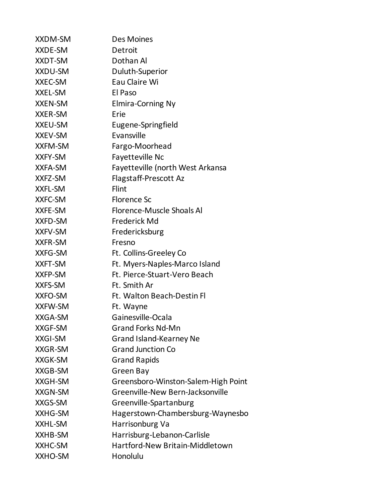| <b>XXDM-SM</b> | <b>Des Moines</b>                   |
|----------------|-------------------------------------|
| XXDE-SM        | Detroit                             |
| XXDT-SM        | Dothan Al                           |
| XXDU-SM        | Duluth-Superior                     |
| XXEC-SM        | Eau Claire Wi                       |
| XXEL-SM        | El Paso                             |
| <b>XXEN-SM</b> | <b>Elmira-Corning Ny</b>            |
| <b>XXER-SM</b> | Erie                                |
| XXEU-SM        | Eugene-Springfield                  |
| <b>XXEV-SM</b> | Evansville                          |
| <b>XXFM-SM</b> | Fargo-Moorhead                      |
| XXFY-SM        | <b>Fayetteville Nc</b>              |
| <b>XXFA-SM</b> | Fayetteville (north West Arkansa    |
| XXFZ-SM        | Flagstaff-Prescott Az               |
| <b>XXFL-SM</b> | Flint                               |
| XXFC-SM        | Florence Sc                         |
| XXFE-SM        | <b>Florence-Muscle Shoals Al</b>    |
| <b>XXFD-SM</b> | Frederick Md                        |
| <b>XXFV-SM</b> | Fredericksburg                      |
| <b>XXFR-SM</b> | Fresno                              |
| XXFG-SM        | Ft. Collins-Greeley Co              |
| <b>XXFT-SM</b> | Ft. Myers-Naples-Marco Island       |
| XXFP-SM        | Ft. Pierce-Stuart-Vero Beach        |
| XXFS-SM        | Ft. Smith Ar                        |
| XXFO-SM        | Ft. Walton Beach-Destin Fl          |
| XXFW-SM        | Ft. Wayne                           |
| XXGA-SM        | Gainesville-Ocala                   |
| <b>XXGF-SM</b> | <b>Grand Forks Nd-Mn</b>            |
| <b>XXGI-SM</b> | Grand Island-Kearney Ne             |
| <b>XXGR-SM</b> | <b>Grand Junction Co</b>            |
| <b>XXGK-SM</b> | <b>Grand Rapids</b>                 |
| XXGB-SM        | Green Bay                           |
| XXGH-SM        | Greensboro-Winston-Salem-High Point |
| <b>XXGN-SM</b> | Greenville-New Bern-Jacksonville    |
| XXGS-SM        | Greenville-Spartanburg              |
| XXHG-SM        | Hagerstown-Chambersburg-Waynesbo    |
| XXHL-SM        | Harrisonburg Va                     |
| XXHB-SM        | Harrisburg-Lebanon-Carlisle         |
| XXHC-SM        | Hartford-New Britain-Middletown     |
| XXHO-SM        | Honolulu                            |
|                |                                     |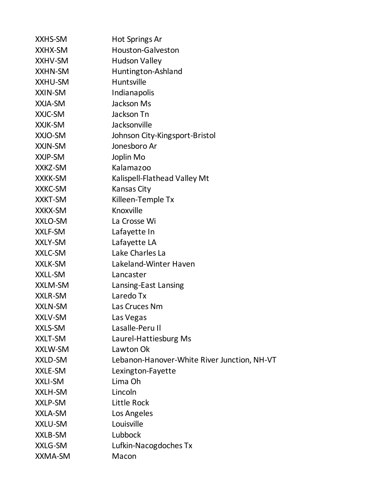| XXHS-SM        | Hot Springs Ar                              |
|----------------|---------------------------------------------|
| XXHX-SM        | Houston-Galveston                           |
| XXHV-SM        | <b>Hudson Valley</b>                        |
| XXHN-SM        | Huntington-Ashland                          |
| XXHU-SM        | Huntsville                                  |
| XXIN-SM        | Indianapolis                                |
| XXJA-SM        | Jackson Ms                                  |
| XXJC-SM        | Jackson Tn                                  |
| XXJK-SM        | Jacksonville                                |
| XXJO-SM        | Johnson City-Kingsport-Bristol              |
| XXJN-SM        | Jonesboro Ar                                |
| XXJP-SM        | Joplin Mo                                   |
| XXKZ-SM        | Kalamazoo                                   |
| <b>XXKK-SM</b> | Kalispell-Flathead Valley Mt                |
| XXKC-SM        | Kansas City                                 |
| <b>XXKT-SM</b> | Killeen-Temple Tx                           |
| XXKX-SM        | Knoxville                                   |
| XXLO-SM        | La Crosse Wi                                |
| XXLF-SM        | Lafayette In                                |
| XXLY-SM        | Lafayette LA                                |
| XXLC-SM        | Lake Charles La                             |
| XXLK-SM        | Lakeland-Winter Haven                       |
| XXLL-SM        | Lancaster                                   |
| XXLM-SM        | Lansing-East Lansing                        |
| <b>XXLR-SM</b> | Laredo Tx                                   |
| <b>XXLN-SM</b> | Las Cruces Nm                               |
| XXLV-SM        | Las Vegas                                   |
| XXLS-SM        | Lasalle-Peru II                             |
| XXLT-SM        | Laurel-Hattiesburg Ms                       |
| XXLW-SM        | Lawton Ok                                   |
| XXLD-SM        | Lebanon-Hanover-White River Junction, NH-VT |
| XXLE-SM        | Lexington-Fayette                           |
| XXLI-SM        | Lima Oh                                     |
| XXLH-SM        | Lincoln                                     |
| XXLP-SM        | <b>Little Rock</b>                          |
| XXLA-SM        | Los Angeles                                 |
| XXLU-SM        | Louisville                                  |
| XXLB-SM        | Lubbock                                     |
| XXLG-SM        | Lufkin-Nacogdoches Tx                       |
| XXMA-SM        | Macon                                       |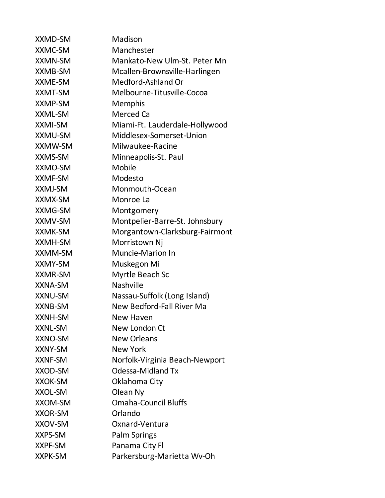| <b>XXMD-SM</b> | Madison                        |
|----------------|--------------------------------|
| XXMC-SM        | Manchester                     |
| <b>XXMN-SM</b> | Mankato-New Ulm-St. Peter Mn   |
| XXMB-SM        | Mcallen-Brownsville-Harlingen  |
| XXME-SM        | Medford-Ashland Or             |
| XXMT-SM        | Melbourne-Titusville-Cocoa     |
| XXMP-SM        | <b>Memphis</b>                 |
| <b>XXML-SM</b> | Merced Ca                      |
| XXMI-SM        | Miami-Ft. Lauderdale-Hollywood |
| <b>XXMU-SM</b> | Middlesex-Somerset-Union       |
| XXMW-SM        | Milwaukee-Racine               |
| <b>XXMS-SM</b> | Minneapolis-St. Paul           |
| XXMO-SM        | Mobile                         |
| XXMF-SM        | Modesto                        |
| XXMJ-SM        | Monmouth-Ocean                 |
| XXMX-SM        | Monroe La                      |
| <b>XXMG-SM</b> | Montgomery                     |
| <b>XXMV-SM</b> | Montpelier-Barre-St. Johnsbury |
| XXMK-SM        | Morgantown-Clarksburg-Fairmont |
| <b>XXMH-SM</b> | Morristown Nj                  |
| XXMM-SM        | <b>Muncie-Marion In</b>        |
| XXMY-SM        | Muskegon Mi                    |
| <b>XXMR-SM</b> | Myrtle Beach Sc                |
| XXNA-SM        | Nashville                      |
| XXNU-SM        | Nassau-Suffolk (Long Island)   |
| <b>XXNB-SM</b> | New Bedford-Fall River Ma      |
| XXNH-SM        | New Haven                      |
| <b>XXNL-SM</b> | New London Ct                  |
| XXNO-SM        | <b>New Orleans</b>             |
| XXNY-SM        | <b>New York</b>                |
| <b>XXNF-SM</b> | Norfolk-Virginia Beach-Newport |
| XXOD-SM        | <b>Odessa-Midland Tx</b>       |
| <b>XXOK-SM</b> | Oklahoma City                  |
| <b>XXOL-SM</b> | Olean Ny                       |
| <b>XXOM-SM</b> | <b>Omaha-Council Bluffs</b>    |
| <b>XXOR-SM</b> | Orlando                        |
| XXOV-SM        | Oxnard-Ventura                 |
| <b>XXPS-SM</b> | Palm Springs                   |
| XXPF-SM        | Panama City Fl                 |
| <b>XXPK-SM</b> | Parkersburg-Marietta Wv-Oh     |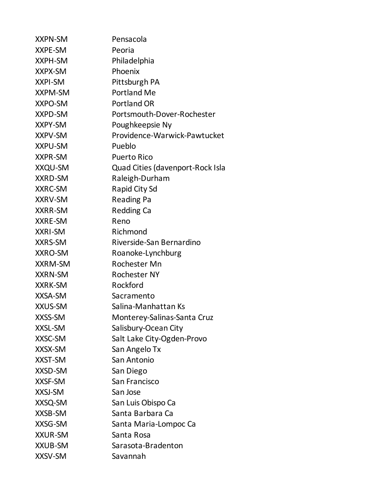| <b>XXPN-SM</b> | Pensacola                        |
|----------------|----------------------------------|
| XXPE-SM        | Peoria                           |
| XXPH-SM        | Philadelphia                     |
| XXPX-SM        | Phoenix                          |
| <b>XXPI-SM</b> | Pittsburgh PA                    |
| <b>XXPM-SM</b> | <b>Portland Me</b>               |
| <b>XXPO-SM</b> | <b>Portland OR</b>               |
| <b>XXPD-SM</b> | Portsmouth-Dover-Rochester       |
| XXPY-SM        | Poughkeepsie Ny                  |
| <b>XXPV-SM</b> | Providence-Warwick-Pawtucket     |
| <b>XXPU-SM</b> | Pueblo                           |
| <b>XXPR-SM</b> | <b>Puerto Rico</b>               |
| <b>XXQU-SM</b> | Quad Cities (davenport-Rock Isla |
| <b>XXRD-SM</b> | Raleigh-Durham                   |
| <b>XXRC-SM</b> | Rapid City Sd                    |
| <b>XXRV-SM</b> | <b>Reading Pa</b>                |
| <b>XXRR-SM</b> | <b>Redding Ca</b>                |
| XXRE-SM        | Reno                             |
| <b>XXRI-SM</b> | Richmond                         |
| <b>XXRS-SM</b> | Riverside-San Bernardino         |
| XXRO-SM        | Roanoke-Lynchburg                |
| <b>XXRM-SM</b> | Rochester Mn                     |
| <b>XXRN-SM</b> | <b>Rochester NY</b>              |
| <b>XXRK-SM</b> | Rockford                         |
| XXSA-SM        | Sacramento                       |
| XXUS-SM        | Salina-Manhattan Ks              |
| XXSS-SM        | Monterey-Salinas-Santa Cruz      |
| <b>XXSL-SM</b> | Salisbury-Ocean City             |
| XXSC-SM        | Salt Lake City-Ogden-Provo       |
| XXSX-SM        | San Angelo Tx                    |
| XXST-SM        | San Antonio                      |
| XXSD-SM        | San Diego                        |
| <b>XXSF-SM</b> | San Francisco                    |
| XXSJ-SM        | San Jose                         |
| XXSQ-SM        | San Luis Obispo Ca               |
| XXSB-SM        | Santa Barbara Ca                 |
| XXSG-SM        | Santa Maria-Lompoc Ca            |
| <b>XXUR-SM</b> | Santa Rosa                       |
| <b>XXUB-SM</b> | Sarasota-Bradenton               |
| XXSV-SM        | Savannah                         |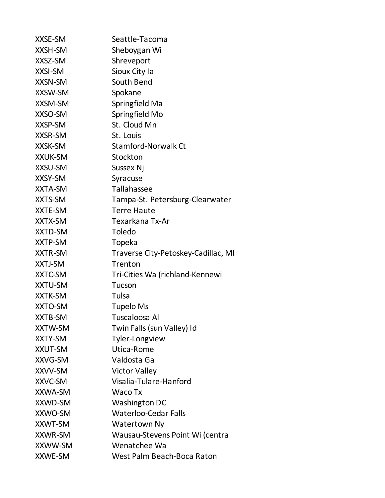| <b>XXSE-SM</b> | Seattle-Tacoma                      |
|----------------|-------------------------------------|
| <b>XXSH-SM</b> | Sheboygan Wi                        |
| XXSZ-SM        | Shreveport                          |
| <b>XXSI-SM</b> | Sioux City Ia                       |
| XXSN-SM        | South Bend                          |
| <b>XXSW-SM</b> | Spokane                             |
| <b>XXSM-SM</b> | Springfield Ma                      |
| XXSO-SM        | Springfield Mo                      |
| XXSP-SM        | St. Cloud Mn                        |
| <b>XXSR-SM</b> | St. Louis                           |
| <b>XXSK-SM</b> | <b>Stamford-Norwalk Ct</b>          |
| <b>XXUK-SM</b> | Stockton                            |
| XXSU-SM        | <b>Sussex Nj</b>                    |
| XXSY-SM        | Syracuse                            |
| XXTA-SM        | Tallahassee                         |
| XXTS-SM        | Tampa-St. Petersburg-Clearwater     |
| XXTE-SM        | <b>Terre Haute</b>                  |
| XXTX-SM        | Texarkana Tx-Ar                     |
| <b>XXTD-SM</b> | <b>Toledo</b>                       |
| XXTP-SM        | Topeka                              |
| <b>XXTR-SM</b> | Traverse City-Petoskey-Cadillac, MI |
| XXTJ-SM        | Trenton                             |
| XXTC-SM        | Tri-Cities Wa (richland-Kennewi     |
| <b>XXTU-SM</b> | Tucson                              |
| <b>XXTK-SM</b> | Tulsa                               |
| <b>XXTO-SM</b> | <b>Tupelo Ms</b>                    |
| <b>XXTB-SM</b> | Tuscaloosa Al                       |
| XXTW-SM        | Twin Falls (sun Valley) Id          |
| XXTY-SM        | Tyler-Longview                      |
| <b>XXUT-SM</b> | Utica-Rome                          |
| XXVG-SM        | Valdosta Ga                         |
| XXVV-SM        | <b>Victor Valley</b>                |
| XXVC-SM        | Visalia-Tulare-Hanford              |
| XXWA-SM        | Waco Tx                             |
| XXWD-SM        | Washington DC                       |
| XXWO-SM        | <b>Waterloo-Cedar Falls</b>         |
| <b>XXWT-SM</b> | <b>Watertown Ny</b>                 |
| <b>XXWR-SM</b> | Wausau-Stevens Point Wi (centra     |
| XXWW-SM        | Wenatchee Wa                        |
| XXWE-SM        | West Palm Beach-Boca Raton          |